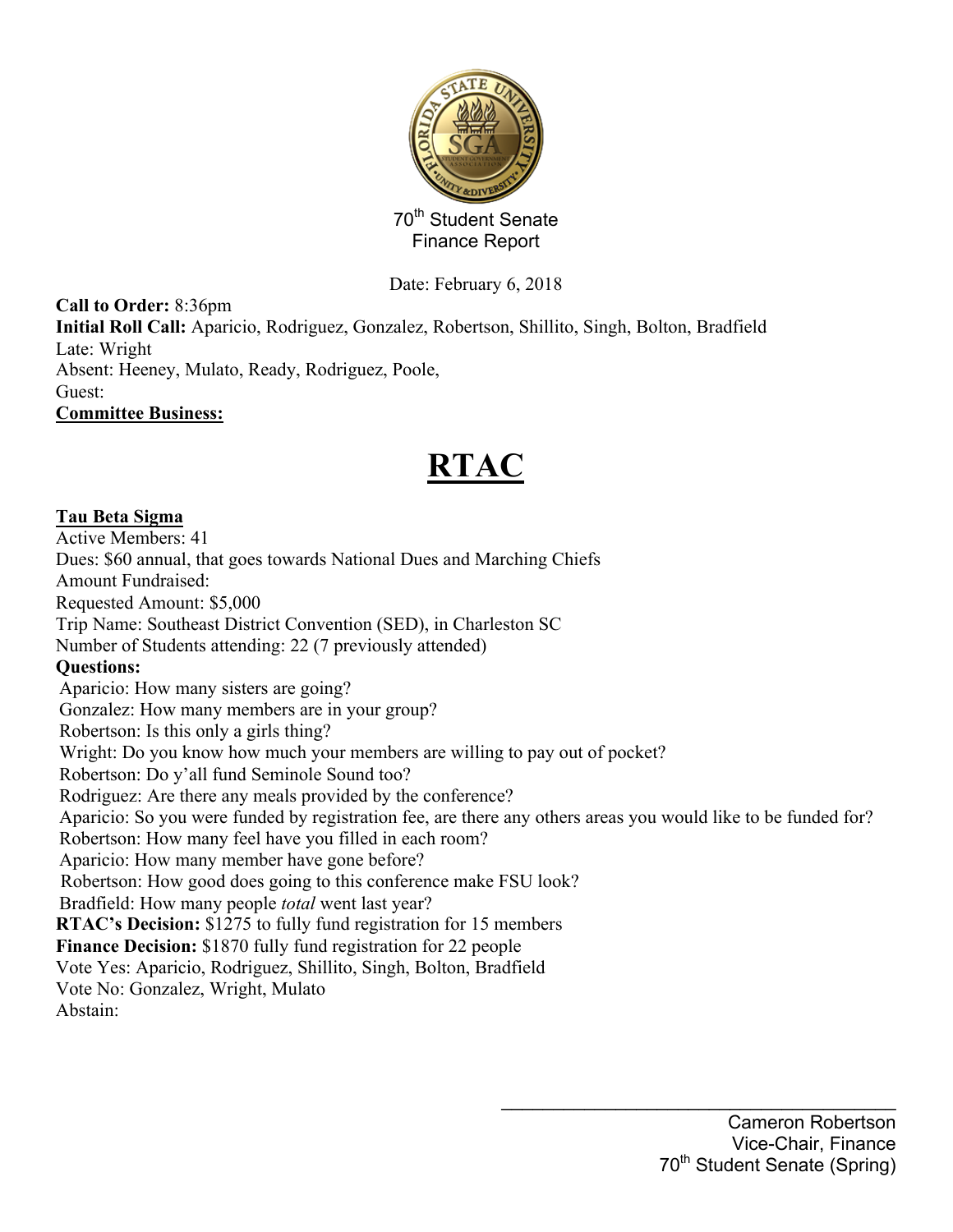

Date: February 6, 2018

**Call to Order:** 8:36pm **Initial Roll Call:** Aparicio, Rodriguez, Gonzalez, Robertson, Shillito, Singh, Bolton, Bradfield Late: Wright Absent: Heeney, Mulato, Ready, Rodriguez, Poole, Guest: **Committee Business:**

# **RTAC**

## **Tau Beta Sigma**

Active Members: 41 Dues: \$60 annual, that goes towards National Dues and Marching Chiefs Amount Fundraised: Requested Amount: \$5,000 Trip Name: Southeast District Convention (SED), in Charleston SC Number of Students attending: 22 (7 previously attended) **Questions:** Aparicio: How many sisters are going? Gonzalez: How many members are in your group? Robertson: Is this only a girls thing? Wright: Do you know how much your members are willing to pay out of pocket? Robertson: Do y'all fund Seminole Sound too? Rodriguez: Are there any meals provided by the conference? Aparicio: So you were funded by registration fee, are there any others areas you would like to be funded for? Robertson: How many feel have you filled in each room? Aparicio: How many member have gone before? Robertson: How good does going to this conference make FSU look? Bradfield: How many people *total* went last year? **RTAC's Decision:** \$1275 to fully fund registration for 15 members **Finance Decision:** \$1870 fully fund registration for 22 people Vote Yes: Aparicio, Rodriguez, Shillito, Singh, Bolton, Bradfield Vote No: Gonzalez, Wright, Mulato Abstain: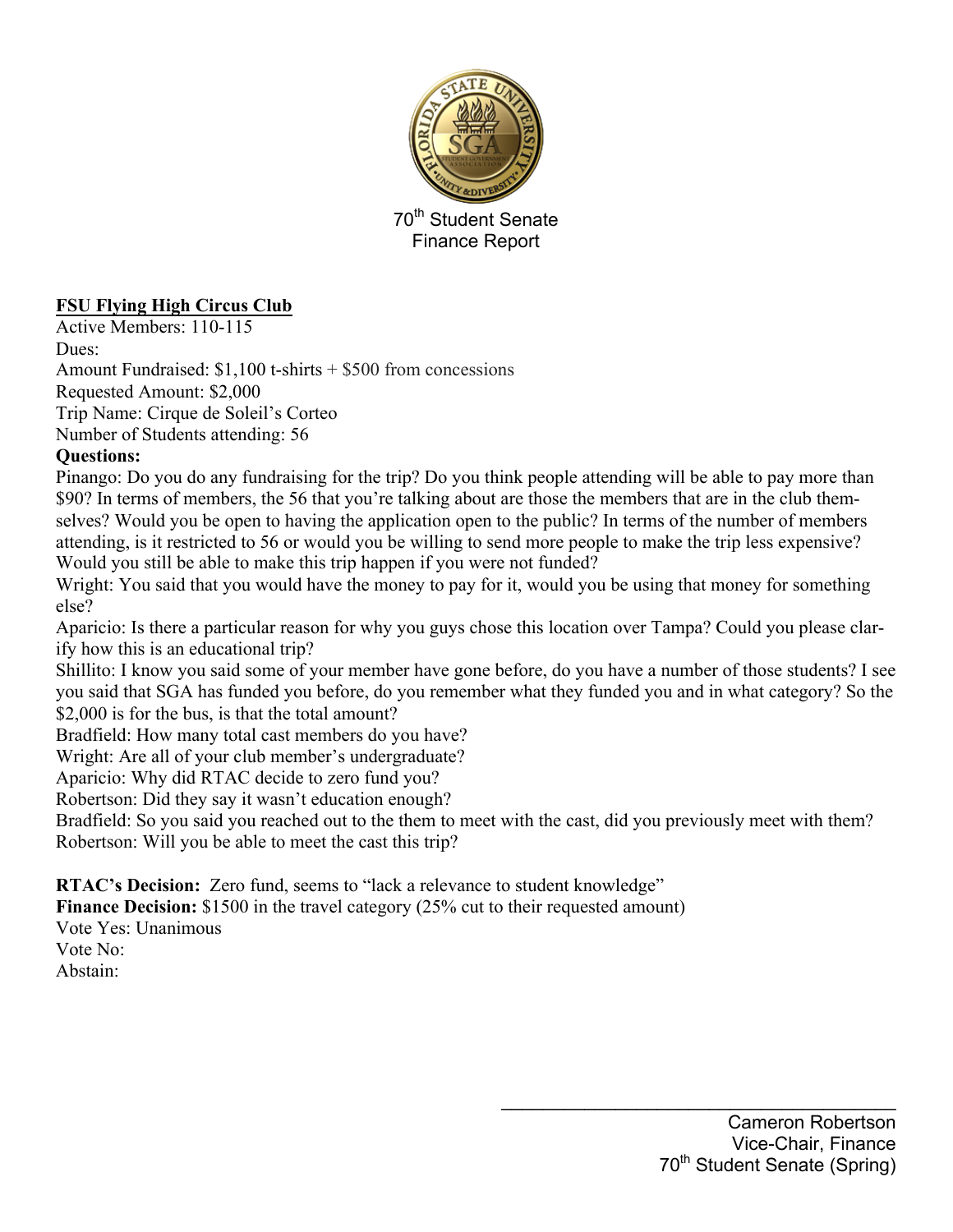

## **FSU Flying High Circus Club**

Active Members: 110-115

Dues:

Amount Fundraised: \$1,100 t-shirts + \$500 from concessions

Requested Amount: \$2,000

Trip Name: Cirque de Soleil's Corteo

Number of Students attending: 56

## **Questions:**

Pinango: Do you do any fundraising for the trip? Do you think people attending will be able to pay more than \$90? In terms of members, the 56 that you're talking about are those the members that are in the club themselves? Would you be open to having the application open to the public? In terms of the number of members attending, is it restricted to 56 or would you be willing to send more people to make the trip less expensive? Would you still be able to make this trip happen if you were not funded?

Wright: You said that you would have the money to pay for it, would you be using that money for something else?

Aparicio: Is there a particular reason for why you guys chose this location over Tampa? Could you please clarify how this is an educational trip?

Shillito: I know you said some of your member have gone before, do you have a number of those students? I see you said that SGA has funded you before, do you remember what they funded you and in what category? So the \$2,000 is for the bus, is that the total amount?

Bradfield: How many total cast members do you have?

Wright: Are all of your club member's undergraduate?

Aparicio: Why did RTAC decide to zero fund you?

Robertson: Did they say it wasn't education enough?

Bradfield: So you said you reached out to the them to meet with the cast, did you previously meet with them? Robertson: Will you be able to meet the cast this trip?

**RTAC's Decision:** Zero fund, seems to "lack a relevance to student knowledge"

**Finance Decision:** \$1500 in the travel category (25% cut to their requested amount)

Vote Yes: Unanimous

Vote No:

Abstain: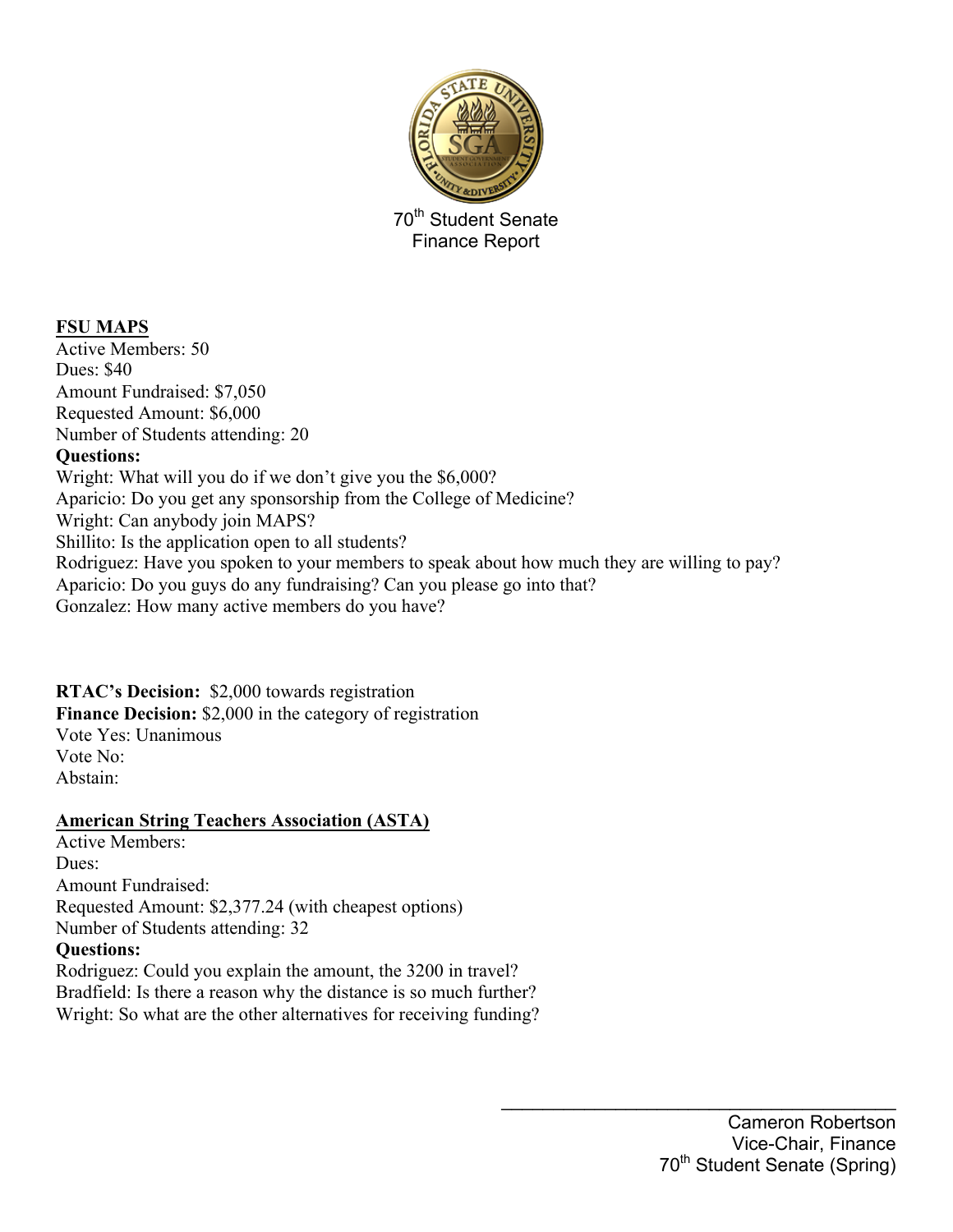

## **FSU MAPS**

Active Members: 50 Dues: \$40 Amount Fundraised: \$7,050 Requested Amount: \$6,000 Number of Students attending: 20 **Questions:** Wright: What will you do if we don't give you the \$6,000? Aparicio: Do you get any sponsorship from the College of Medicine? Wright: Can anybody join MAPS? Shillito: Is the application open to all students? Rodriguez: Have you spoken to your members to speak about how much they are willing to pay? Aparicio: Do you guys do any fundraising? Can you please go into that? Gonzalez: How many active members do you have?

### **RTAC's Decision:** \$2,000 towards registration

**Finance Decision:** \$2,000 in the category of registration Vote Yes: Unanimous Vote No:

Abstain:

### **American String Teachers Association (ASTA)**

Active Members: Dues: Amount Fundraised: Requested Amount: \$2,377.24 (with cheapest options) Number of Students attending: 32 **Questions:**

Rodriguez: Could you explain the amount, the 3200 in travel? Bradfield: Is there a reason why the distance is so much further? Wright: So what are the other alternatives for receiving funding?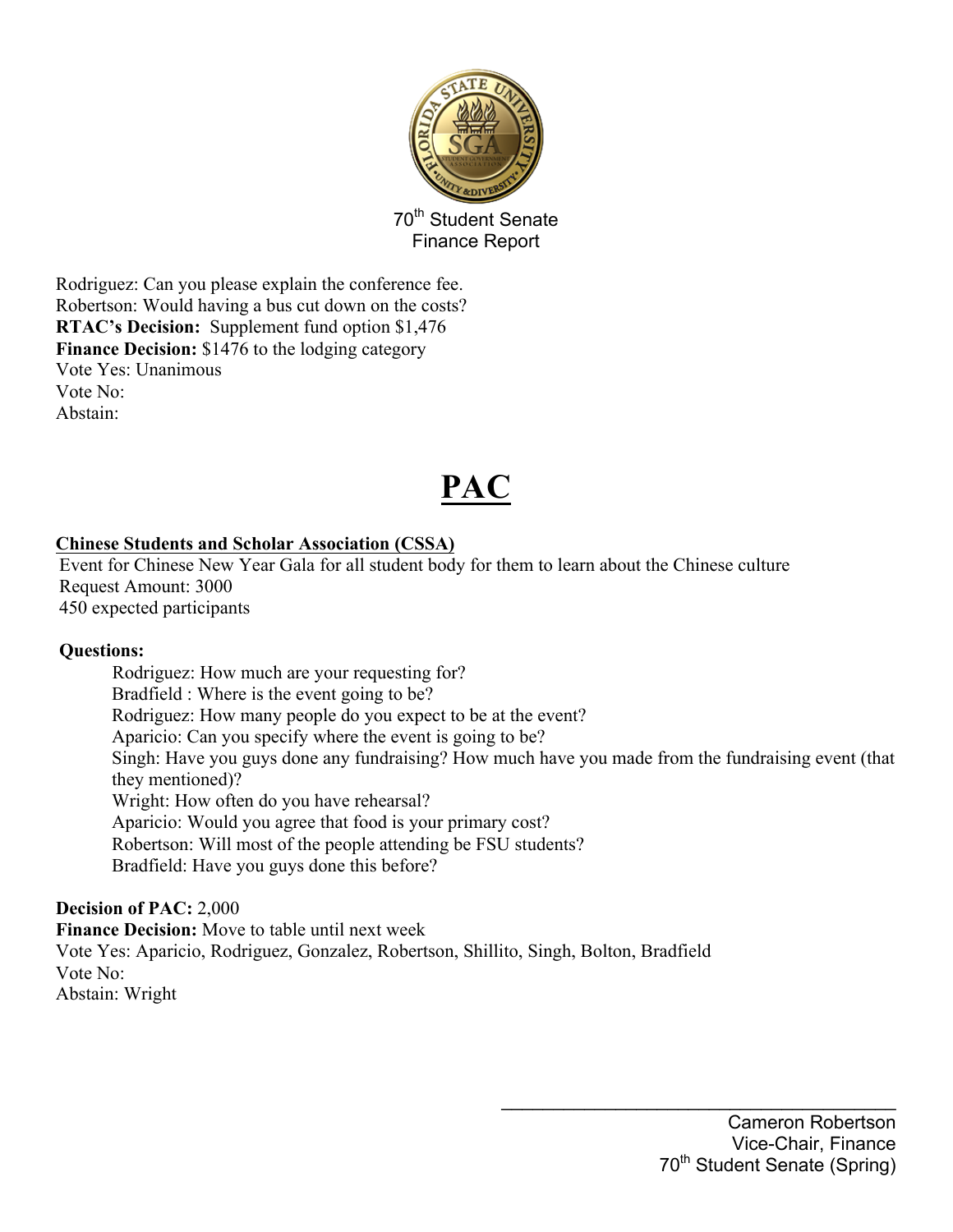

Rodriguez: Can you please explain the conference fee. Robertson: Would having a bus cut down on the costs? **RTAC's Decision:** Supplement fund option \$1,476 Finance Decision: \$1476 to the lodging category Vote Yes: Unanimous Vote No: Abstain:

## **PAC**

## **Chinese Students and Scholar Association (CSSA)**

Event for Chinese New Year Gala for all student body for them to learn about the Chinese culture Request Amount: 3000 450 expected participants

### **Questions:**

Rodriguez: How much are your requesting for? Bradfield : Where is the event going to be? Rodriguez: How many people do you expect to be at the event? Aparicio: Can you specify where the event is going to be? Singh: Have you guys done any fundraising? How much have you made from the fundraising event (that they mentioned)? Wright: How often do you have rehearsal? Aparicio: Would you agree that food is your primary cost? Robertson: Will most of the people attending be FSU students? Bradfield: Have you guys done this before?

### **Decision of PAC:** 2,000

**Finance Decision:** Move to table until next week Vote Yes: Aparicio, Rodriguez, Gonzalez, Robertson, Shillito, Singh, Bolton, Bradfield Vote No: Abstain: Wright